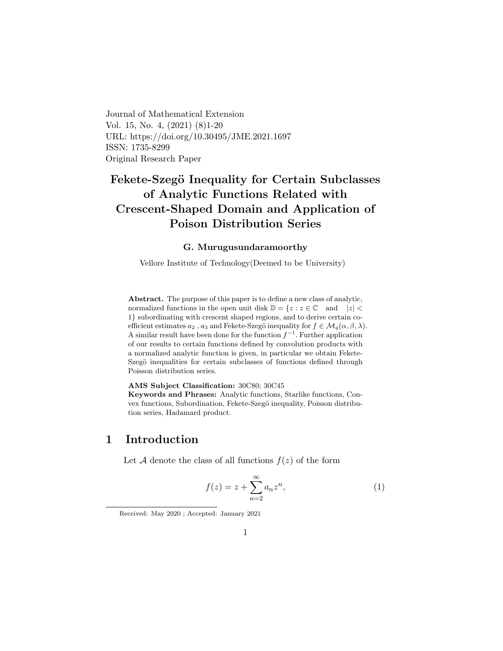<span id="page-0-1"></span>Journal of Mathematical Extension Vol. 15, No. 4, (2021) (8)1-20 URL: https://doi.org/10.30495/JME.2021.1697 ISSN: 1735-8299 Original Research Paper

# Fekete-Szegö Inequality for Certain Subclasses of Analytic Functions Related with Crescent-Shaped Domain and Application of Poison Distribution Series

#### G. Murugusundaramoorthy

Vellore Institute of Technology(Deemed to be University)

Abstract. The purpose of this paper is to define a new class of analytic, normalized functions in the open unit disk  $\mathbb{D} = \{z : z \in \mathbb{C} \text{ and } |z| < \epsilon\}$ 1} subordinating with crescent shaped regions, and to derive certain coefficient estimates  $a_2$ ,  $a_3$  and Fekete-Szegö inequality for  $f \in \mathcal{M}_q(\alpha, \beta, \lambda)$ . A similar result have been done for the function  $f^{-1}$ . Further application of our results to certain functions defined by convolution products with a normalized analytic function is given, in particular we obtain Fekete-Szegö inequalities for certain subclasses of functions defined through Poisson distribution series.

#### AMS Subject Classification: 30C80; 30C45

Keywords and Phrases: Analytic functions, Starlike functions, Convex functions, Subordination, Fekete-Szegö inequality, Poisson distribution series, Hadamard product.

### 1 Introduction

Let A denote the class of all functions  $f(z)$  of the form

<span id="page-0-0"></span>
$$
f(z) = z + \sum_{n=2}^{\infty} a_n z^n,
$$
 (1)

Received: May 2020 ; Accepted: January 2021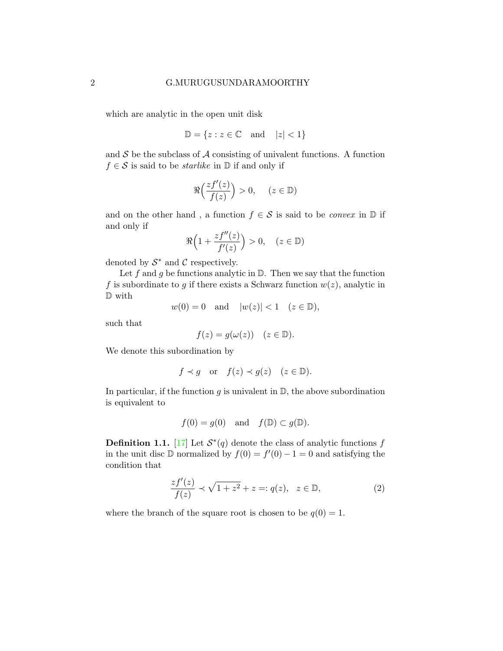which are analytic in the open unit disk

$$
\mathbb{D} = \{ z : z \in \mathbb{C} \quad \text{and} \quad |z| < 1 \}
$$

and  $S$  be the subclass of  $A$  consisting of univalent functions. A function  $f \in \mathcal{S}$  is said to be *starlike* in  $\mathbb{D}$  if and only if

<span id="page-1-0"></span>
$$
\Re\Big(\frac{zf'(z)}{f(z)}\Big) > 0, \quad (z \in \mathbb{D})
$$

and on the other hand, a function  $f \in \mathcal{S}$  is said to be *convex* in  $\mathbb{D}$  if and only if

$$
\Re\Big(1+\frac{zf''(z)}{f'(z)}\Big)>0,\quad (z\in\mathbb{D})
$$

denoted by  $S^*$  and C respectively.

Let f and g be functions analytic in  $\mathbb{D}$ . Then we say that the function f is subordinate to g if there exists a Schwarz function  $w(z)$ , analytic in D with

$$
w(0) = 0 \quad \text{and} \quad |w(z)| < 1 \quad (z \in \mathbb{D}),
$$

such that

$$
f(z) = g(\omega(z)) \quad (z \in \mathbb{D}).
$$

We denote this subordination by

$$
f \prec g
$$
 or  $f(z) \prec g(z)$   $(z \in \mathbb{D}).$ 

In particular, if the function  $g$  is univalent in  $\mathbb{D}$ , the above subordination is equivalent to

$$
f(0) = g(0)
$$
 and  $f(\mathbb{D}) \subset g(\mathbb{D})$ .

**Definition 1.1.** [\[17\]](#page-19-0) Let  $S^*(q)$  denote the class of analytic functions f in the unit disc  $D$  normalized by  $f(0) = f'(0) - 1 = 0$  and satisfying the condition that

$$
\frac{zf'(z)}{f(z)} \prec \sqrt{1+z^2} + z =: q(z), \ z \in \mathbb{D}, \tag{2}
$$

where the branch of the square root is chosen to be  $q(0) = 1$ .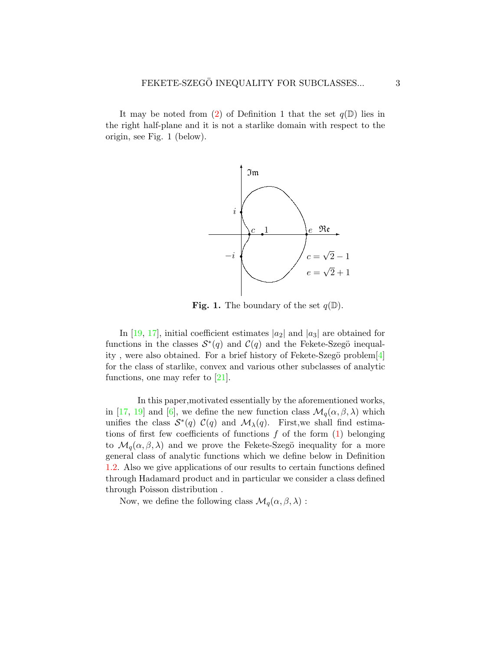It may be noted from [\(2\)](#page-1-0) of Definition 1 that the set  $q(\mathbb{D})$  lies in the right half-plane and it is not a starlike domain with respect to the origin, see Fig. 1 (below).



**Fig. 1.** The boundary of the set  $q(\mathbb{D})$ .

In [\[19,](#page-19-1) [17\]](#page-19-0), initial coefficient estimates  $|a_2|$  and  $|a_3|$  are obtained for functions in the classes  $S^*(q)$  and  $C(q)$  and the Fekete-Szegö inequality, were also obtained. For a brief history of Fekete-Szegö problem $[4]$ for the class of starlike, convex and various other subclasses of analytic functions, one may refer to [\[21\]](#page-19-2).

In this paper,motivated essentially by the aforementioned works, in [\[17,](#page-19-0) [19\]](#page-19-1) and [\[6\]](#page-18-0), we define the new function class  $\mathcal{M}_q(\alpha, \beta, \lambda)$  which unifies the class  $S^*(q)$   $C(q)$  and  $\mathcal{M}_{\lambda}(q)$ . First, we shall find estimations of first few coefficients of functions  $f$  of the form  $(1)$  belonging to  $\mathcal{M}_q(\alpha, \beta, \lambda)$  and we prove the Fekete-Szegö inequality for a more general class of analytic functions which we define below in Definition [1.2.](#page-3-0) Also we give applications of our results to certain functions defined through Hadamard product and in particular we consider a class defined through Poisson distribution .

Now, we define the following class  $\mathcal{M}_q(\alpha, \beta, \lambda)$ :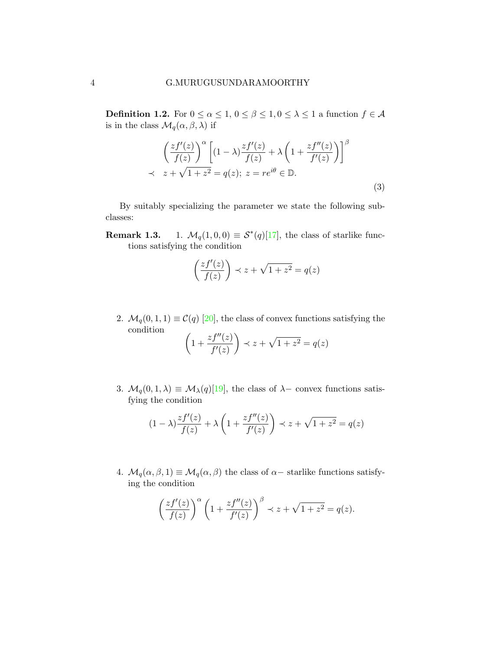<span id="page-3-0"></span>**Definition 1.2.** For  $0 \le \alpha \le 1$ ,  $0 \le \beta \le 1$ ,  $0 \le \lambda \le 1$  a function  $f \in \mathcal{A}$ is in the class  $\mathcal{M}_q(\alpha, \beta, \lambda)$  if

$$
\left(\frac{zf'(z)}{f(z)}\right)^{\alpha} \left[ (1-\lambda)\frac{zf'(z)}{f(z)} + \lambda \left(1 + \frac{zf''(z)}{f'(z)}\right) \right]^{\beta}
$$
  
 
$$
\prec z + \sqrt{1+z^2} = q(z); \ z = re^{i\theta} \in \mathbb{D}.
$$
 (3)

By suitably specializing the parameter we state the following subclasses:

**Remark 1.3.** 1.  $\mathcal{M}_q(1,0,0) \equiv \mathcal{S}^*(q)[17]$  $\mathcal{M}_q(1,0,0) \equiv \mathcal{S}^*(q)[17]$ , the class of starlike functions satisfying the condition

$$
\left(\frac{zf'(z)}{f(z)}\right) \prec z + \sqrt{1+z^2} = q(z)
$$

2.  $\mathcal{M}_q(0, 1, 1) \equiv \mathcal{C}(q)$  [\[20\]](#page-19-3), the class of convex functions satisfying the condition  $\mathcal{L}$ 

$$
\left(1 + \frac{zf''(z)}{f'(z)}\right) \prec z + \sqrt{1 + z^2} = q(z)
$$

3.  $\mathcal{M}_q(0, 1, \lambda) \equiv \mathcal{M}_\lambda(q)$ [\[19\]](#page-19-1), the class of  $\lambda$ – convex functions satisfying the condition

$$
(1 - \lambda) \frac{zf'(z)}{f(z)} + \lambda \left(1 + \frac{zf''(z)}{f'(z)}\right) \prec z + \sqrt{1 + z^2} = q(z)
$$

4.  $\mathcal{M}_q(\alpha, \beta, 1) \equiv \mathcal{M}_q(\alpha, \beta)$  the class of  $\alpha$ -starlike functions satisfying the condition

$$
\left(\frac{zf'(z)}{f(z)}\right)^{\alpha} \left(1 + \frac{zf''(z)}{f'(z)}\right)^{\beta} \prec z + \sqrt{1+z^2} = q(z).
$$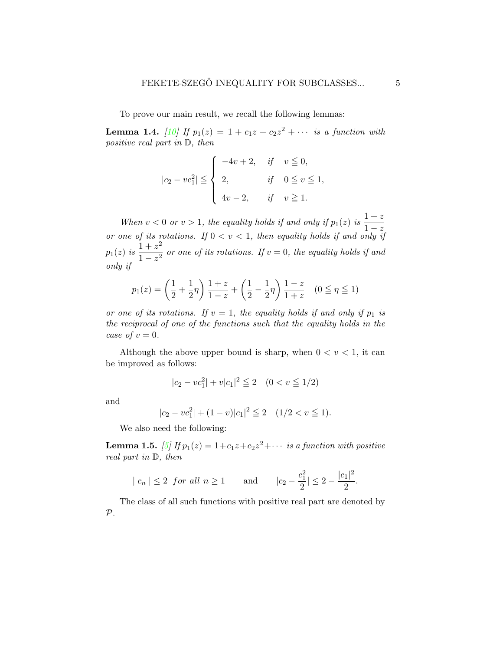To prove our main result, we recall the following lemmas:

<span id="page-4-0"></span>**Lemma 1.4.** [\[10\]](#page-18-1) If  $p_1(z) = 1 + c_1z + c_2z^2 + \cdots$  is a function with positive real part in D, then

$$
|c_2 - vc_1^2| \le \begin{cases} -4v + 2, & \text{if } v \le 0, \\ 2, & \text{if } 0 \le v \le 1, \\ 4v - 2, & \text{if } v \ge 1. \end{cases}
$$

When  $v < 0$  or  $v > 1$ , the equality holds if and only if  $p_1(z)$  is  $\frac{1+z}{1-z}$  $1-z$ or one of its rotations. If  $0 < v < 1$ , then equality holds if and only if  $p_1(z)$  is  $\frac{1+z^2}{1-z^2}$  $\frac{1 + z}{1 - z^2}$  or one of its rotations. If  $v = 0$ , the equality holds if and only if

$$
p_1(z) = \left(\frac{1}{2} + \frac{1}{2}\eta\right)\frac{1+z}{1-z} + \left(\frac{1}{2} - \frac{1}{2}\eta\right)\frac{1-z}{1+z} \quad (0 \le \eta \le 1)
$$

or one of its rotations. If  $v = 1$ , the equality holds if and only if  $p_1$  is the reciprocal of one of the functions such that the equality holds in the case of  $v = 0$ .

Although the above upper bound is sharp, when  $0 < v < 1$ , it can be improved as follows:

$$
|c_2 - \nu c_1^2| + \nu |c_1|^2 \leqq 2 \quad (0 < \nu \leqq 1/2)
$$

and

$$
|c_2 - vc_1^2| + (1 - v)|c_1|^2 \leqq 2 \quad (1/2 < v \leqq 1).
$$

We also need the following:

**Lemma 1.5.** [\[5\]](#page-17-1) If  $p_1(z) = 1+c_1z+c_2z^2+\cdots$  is a function with positive real part in D, then

$$
|c_n| \le 2
$$
 for all  $n \ge 1$  and  $|c_2 - \frac{c_1^2}{2}| \le 2 - \frac{|c_1|^2}{2}$ .

The class of all such functions with positive real part are denoted by  $P$ .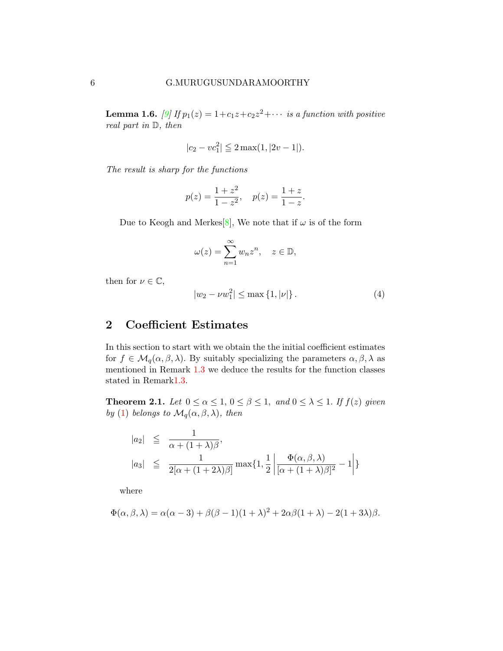<span id="page-5-0"></span>**Lemma 1.6.** [\[9\]](#page-18-2) If  $p_1(z) = 1+c_1z+c_2z^2+\cdots$  is a function with positive real part in D, then

$$
|c_2 - \nu c_1^2| \leqq 2 \max(1, |2\nu - 1|).
$$

The result is sharp for the functions

$$
p(z) = \frac{1+z^2}{1-z^2}
$$
,  $p(z) = \frac{1+z}{1-z}$ .

Due to Keogh and Merkes<sup>[\[8\]](#page-18-3)</sup>, We note that if  $\omega$  is of the form

$$
\omega(z) = \sum_{n=1}^{\infty} w_n z^n, \quad z \in \mathbb{D},
$$

then for  $\nu \in \mathbb{C}$ ,

$$
|w_2 - \nu w_1^2| \le \max\left\{1, |\nu|\right\}.
$$
 (4)

## 2 Coefficient Estimates

In this section to start with we obtain the the initial coefficient estimates for  $f \in \mathcal{M}_q(\alpha, \beta, \lambda)$ . By suitably specializing the parameters  $\alpha, \beta, \lambda$  as mentioned in Remark [1.3](#page-0-1) we deduce the results for the function classes stated in Remar[k1.3.](#page-0-1)

<span id="page-5-1"></span>**Theorem 2.1.** Let  $0 \le \alpha \le 1$ ,  $0 \le \beta \le 1$ , and  $0 \le \lambda \le 1$ . If  $f(z)$  given by [\(1\)](#page-0-0) belongs to  $\mathcal{M}_q(\alpha, \beta, \lambda)$ , then

$$
|a_2| \leqq \frac{1}{\alpha + (1+\lambda)\beta},
$$
  
\n
$$
|a_3| \leqq \frac{1}{2[\alpha + (1+2\lambda)\beta]} \max\{1, \frac{1}{2} \left| \frac{\Phi(\alpha, \beta, \lambda)}{[\alpha + (1+\lambda)\beta]^2} - 1 \right| \}
$$

where

$$
\Phi(\alpha,\beta,\lambda) = \alpha(\alpha-3) + \beta(\beta-1)(1+\lambda)^2 + 2\alpha\beta(1+\lambda) - 2(1+3\lambda)\beta.
$$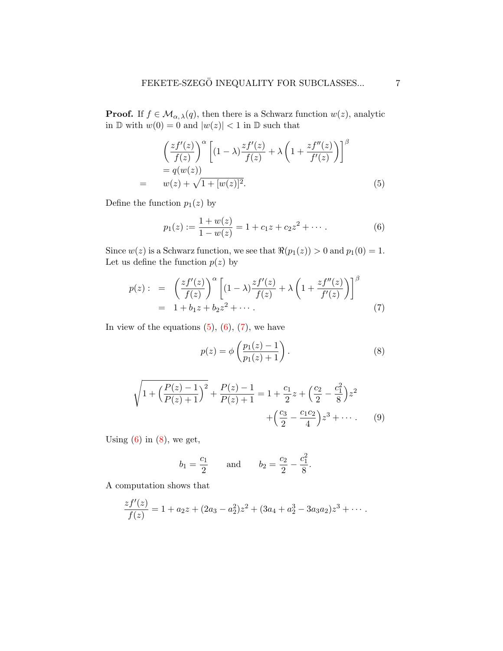**Proof.** If  $f \in \mathcal{M}_{\alpha,\lambda}(q)$ , then there is a Schwarz function  $w(z)$ , analytic in  $\mathbb D$  with  $w(0) = 0$  and  $|w(z)| < 1$  in  $\mathbb D$  such that

<span id="page-6-0"></span>
$$
\left(\frac{zf'(z)}{f(z)}\right)^{\alpha} \left[ (1-\lambda)\frac{zf'(z)}{f(z)} + \lambda \left(1 + \frac{zf''(z)}{f'(z)}\right) \right]^{\beta}
$$
  
=  $q(w(z))$   
=  $w(z) + \sqrt{1 + [w(z)]^2}$ . (5)

Define the function  $p_1(z)$  by

<span id="page-6-1"></span>
$$
p_1(z) := \frac{1 + w(z)}{1 - w(z)} = 1 + c_1 z + c_2 z^2 + \cdots
$$
 (6)

Since  $w(z)$  is a Schwarz function, we see that  $\Re(p_1(z)) > 0$  and  $p_1(0) = 1$ . Let us define the function  $p(z)$  by

<span id="page-6-2"></span>
$$
p(z): = \left(\frac{zf'(z)}{f(z)}\right)^{\alpha} \left[ (1-\lambda)\frac{zf'(z)}{f(z)} + \lambda \left(1 + \frac{zf''(z)}{f'(z)}\right) \right]^{\beta}
$$
  
= 1 + b<sub>1</sub>z + b<sub>2</sub>z<sup>2</sup> + ··· . (7)

In view of the equations  $(5)$ ,  $(6)$ ,  $(7)$ , we have

<span id="page-6-3"></span>
$$
p(z) = \phi\left(\frac{p_1(z) - 1}{p_1(z) + 1}\right).
$$
 (8)

$$
\sqrt{1 + \left(\frac{P(z) - 1}{P(z) + 1}\right)^2} + \frac{P(z) - 1}{P(z) + 1} = 1 + \frac{c_1}{2}z + \left(\frac{c_2}{2} - \frac{c_1^2}{8}\right)z^2 + \left(\frac{c_3}{2} - \frac{c_1c_2}{4}\right)z^3 + \cdots
$$
 (9)

Using  $(6)$  in  $(8)$ , we get,

$$
b_1 = \frac{c_1}{2}
$$
 and  $b_2 = \frac{c_2}{2} - \frac{c_1^2}{8}$ .

A computation shows that

$$
\frac{zf'(z)}{f(z)} = 1 + a_2z + (2a_3 - a_2^2)z^2 + (3a_4 + a_2^3 - 3a_3a_2)z^3 + \cdots
$$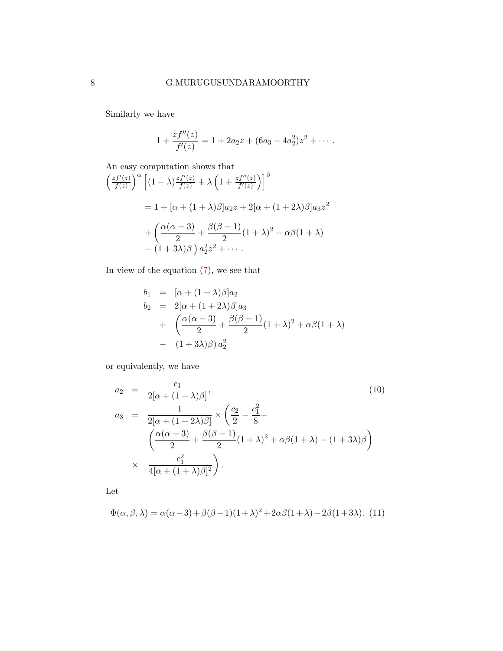Similarly we have

$$
1 + \frac{zf''(z)}{f'(z)} = 1 + 2a_2z + (6a_3 - 4a_2^2)z^2 + \cdots
$$

An easy computation shows that  $\int z f'(z)$  $\int_{f(z)}^{f'(z)} \int_{0}^{\alpha} \left[ (1-\lambda) \frac{zf'(z)}{f(z)} + \lambda \left( 1 + \frac{zf''(z)}{f'(z)} \right) \right]_{0}^{\beta}$ 

$$
= 1 + [\alpha + (1+\lambda)\beta]a_2z + 2[\alpha + (1+2\lambda)\beta]a_3z^2
$$

$$
+ \left(\frac{\alpha(\alpha-3)}{2} + \frac{\beta(\beta-1)}{2}(1+\lambda)^2 + \alpha\beta(1+\lambda) - (1+3\lambda)\beta\right)a_3z^2 + \cdots
$$

In view of the equation  $(7)$ , we see that

$$
b_1 = [\alpha + (1 + \lambda)\beta]a_2
$$
  
\n
$$
b_2 = 2[\alpha + (1 + 2\lambda)\beta]a_3
$$
  
\n
$$
+ \left(\frac{\alpha(\alpha - 3)}{2} + \frac{\beta(\beta - 1)}{2}(1 + \lambda)^2 + \alpha\beta(1 + \lambda) - (1 + 3\lambda)\beta)a_2^2\right)
$$

or equivalently, we have

<span id="page-7-1"></span>
$$
a_2 = \frac{c_1}{2[\alpha + (1 + \lambda)\beta]},
$$
\n
$$
a_3 = \frac{1}{2[\alpha + (1 + 2\lambda)\beta]} \times \left(\frac{c_2}{2} - \frac{c_1^2}{8} - \frac{c_2^2}{2} - \frac{c_3^2}{2}\right)
$$
\n
$$
\times \frac{c_1^2}{4[\alpha + (1 + \lambda)\beta]^2}.
$$
\n(10)

Let

<span id="page-7-0"></span>
$$
\Phi(\alpha,\beta,\lambda) = \alpha(\alpha-3) + \beta(\beta-1)(1+\lambda)^2 + 2\alpha\beta(1+\lambda) - 2\beta(1+3\lambda). \tag{11}
$$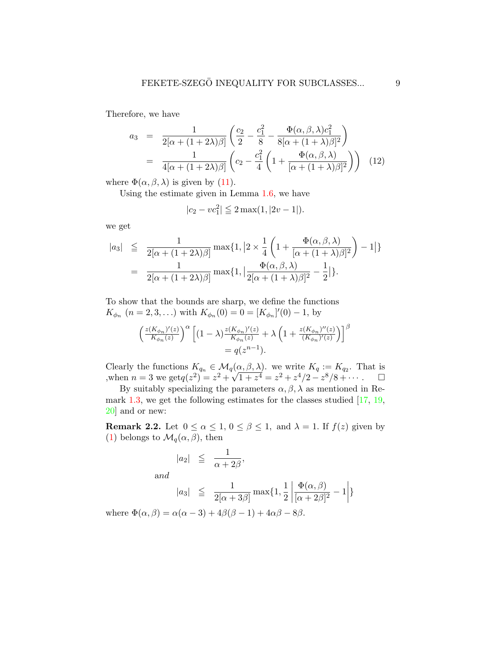Therefore, we have

<span id="page-8-0"></span>
$$
a_3 = \frac{1}{2[\alpha + (1+2\lambda)\beta]} \left( \frac{c_2}{2} - \frac{c_1^2}{8} - \frac{\Phi(\alpha, \beta, \lambda)c_1^2}{8[\alpha + (1+\lambda)\beta]^2} \right)
$$
  
= 
$$
\frac{1}{4[\alpha + (1+2\lambda)\beta]} \left( c_2 - \frac{c_1^2}{4} \left( 1 + \frac{\Phi(\alpha, \beta, \lambda)}{[\alpha + (1+\lambda)\beta]^2} \right) \right)
$$
(12)

where  $\Phi(\alpha, \beta, \lambda)$  is given by [\(11\)](#page-7-0).

Using the estimate given in Lemma [1.6,](#page-5-0) we have

$$
|c_2 - \nu c_1^2| \leqq 2 \max(1, |2\nu - 1|).
$$

we get

$$
|a_3| \leqq \frac{1}{2[\alpha + (1+2\lambda)\beta]} \max\{1, \left|2 \times \frac{1}{4} \left(1 + \frac{\Phi(\alpha, \beta, \lambda)}{[\alpha + (1+\lambda)\beta]^2}\right) - 1\right|\}
$$

$$
= \frac{1}{2[\alpha + (1+2\lambda)\beta]} \max\{1, \left|\frac{\Phi(\alpha, \beta, \lambda)}{2[\alpha + (1+\lambda)\beta]^2} - \frac{1}{2}\right|\}.
$$

To show that the bounds are sharp, we define the functions  $K_{\phi_n}$   $(n = 2, 3, ...)$  with  $K_{\phi_n}(0) = 0 = [K_{\phi_n}]'(0) - 1$ , by

$$
\left(\frac{z(K_{\phi_n})'(z)}{K_{\phi_n}(z)}\right)^{\alpha} \left[ (1-\lambda) \frac{z(K_{\phi_n})'(z)}{K_{\phi_n}(z)} + \lambda \left(1 + \frac{z(K_{\phi_n})''(z)}{(K_{\phi_n})'(z)}\right) \right]^{\beta}
$$
  
=  $q(z^{n-1}).$ 

Clearly the functions  $K_{q_n} \in \mathcal{M}_q(\alpha, \beta, \lambda)$ . we write  $K_q := K_{q_2}$ . That is Ulter Unit change of  $\mathbf{A}_{q_n} \in \mathcal{M}_q(\mathbf{A})$ <br>when  $n = 3$  we get  $q(z^2) = z^2 + \sqrt{z^2 + \sqrt{z^2}}$  $\overline{1+z^4} = z^2 + z^4/2 - z^8/8 + \cdots$   $\Box$ 

By suitably specializing the parameters  $\alpha, \beta, \lambda$  as mentioned in Re-mark [1.3,](#page-0-1) we get the following estimates for the classes studied  $[17, 19,$  $[17, 19,$  $[17, 19,$ [20\]](#page-19-3) and or new:

**Remark 2.2.** Let  $0 \le \alpha \le 1, 0 \le \beta \le 1$ , and  $\lambda = 1$ . If  $f(z)$  given by [\(1\)](#page-0-0) belongs to  $\mathcal{M}_q(\alpha, \beta)$ , then

$$
|a_2| \leqq \frac{1}{\alpha + 2\beta},
$$

and

$$
|a_3| \leq \frac{1}{2[\alpha+3\beta]} \max\{1, \frac{1}{2} \left| \frac{\Phi(\alpha, \beta)}{[\alpha+2\beta]^2} - 1 \right| \}
$$

where  $\Phi(\alpha, \beta) = \alpha(\alpha - 3) + 4\beta(\beta - 1) + 4\alpha\beta - 8\beta$ .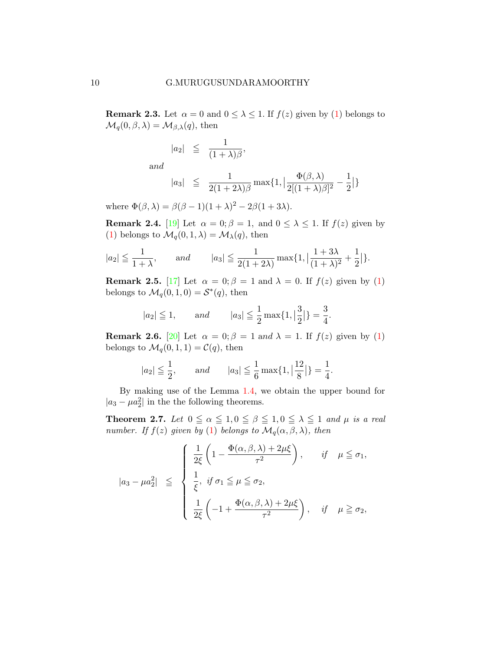**Remark 2.3.** Let  $\alpha = 0$  and  $0 \le \lambda \le 1$ . If  $f(z)$  given by [\(1\)](#page-0-0) belongs to  $\mathcal{M}_q(0,\beta,\lambda) = \mathcal{M}_{\beta,\lambda}(q)$ , then

$$
|a_2| \leqq \frac{1}{(1+\lambda)\beta},
$$

and

$$
|a_3| \leqq \frac{1}{2(1+2\lambda)\beta} \max\{1, \big|\frac{\Phi(\beta,\lambda)}{2[(1+\lambda)\beta]^2} - \frac{1}{2}\big|\}
$$

where  $\Phi(\beta, \lambda) = \beta(\beta - 1)(1 + \lambda)^2 - 2\beta(1 + 3\lambda)$ .

**Remark 2.4.** [\[19\]](#page-19-1) Let  $\alpha = 0; \beta = 1$ , and  $0 \leq \lambda \leq 1$ . If  $f(z)$  given by [\(1\)](#page-0-0) belongs to  $\mathcal{M}_q(0,1,\lambda) = \mathcal{M}_\lambda(q)$ , then

$$
|a_2| \le \frac{1}{1+\lambda}
$$
, and  $|a_3| \le \frac{1}{2(1+2\lambda)} \max\{1, \left|\frac{1+3\lambda}{(1+\lambda)^2} + \frac{1}{2}\right|\}.$ 

**Remark 2.5.** [\[17\]](#page-19-0) Let  $\alpha = 0$ ;  $\beta = 1$  and  $\lambda = 0$ . If  $f(z)$  given by [\(1\)](#page-0-0) belongs to  $\mathcal{M}_q(0,1,0) = \mathcal{S}^*(q)$ , then

$$
|a_2| \le 1
$$
, and  $|a_3| \le \frac{1}{2} \max\{1, |\frac{3}{2}|\} = \frac{3}{4}$ .

**Remark 2.6.** [\[20\]](#page-19-3) Let  $\alpha = 0$ ;  $\beta = 1$  and  $\lambda = 1$ . If  $f(z)$  given by [\(1\)](#page-0-0) belongs to  $\mathcal{M}_q(0,1,1) = \mathcal{C}(q)$ , then

$$
|a_2| \le \frac{1}{2}
$$
, and  $|a_3| \le \frac{1}{6} \max\{1, \left|\frac{12}{8}\right|\} = \frac{1}{4}$ .

By making use of the Lemma 1.[4,](#page-4-0) we obtain the upper bound for  $|a_3 - \mu a_2^2|$  in the the following theorems.

<span id="page-9-0"></span>**Theorem 2.7.** Let  $0 \le \alpha \le 1, 0 \le \beta \le 1, 0 \le \lambda \le 1$  and  $\mu$  is a real number. If  $f(z)$  given by [\(1\)](#page-0-0) belongs to  $\mathcal{M}_q(\alpha,\beta,\lambda)$ , then

$$
|a_3 - \mu a_2^2| \leq \begin{cases} \frac{1}{2\xi} \left( 1 - \frac{\Phi(\alpha, \beta, \lambda) + 2\mu\xi}{\tau^2} \right), & \text{if } \mu \leq \sigma_1, \\ \frac{1}{\xi}, & \text{if } \sigma_1 \leq \mu \leq \sigma_2, \\ \frac{1}{2\xi} \left( -1 + \frac{\Phi(\alpha, \beta, \lambda) + 2\mu\xi}{\tau^2} \right), & \text{if } \mu \geq \sigma_2, \end{cases}
$$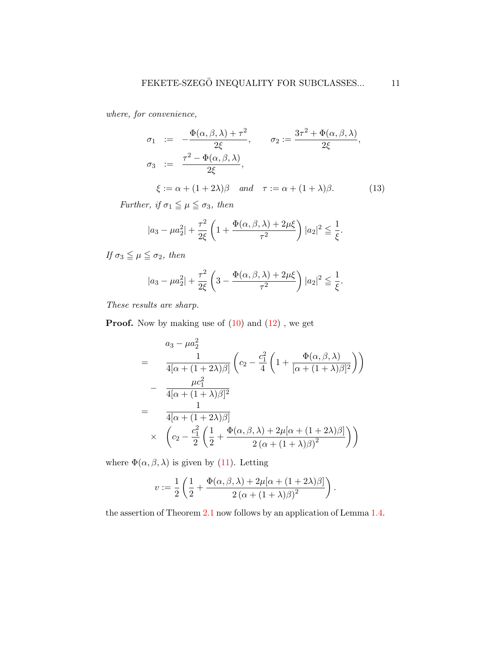where, for convenience,

$$
\sigma_1 := -\frac{\Phi(\alpha, \beta, \lambda) + \tau^2}{2\xi}, \qquad \sigma_2 := \frac{3\tau^2 + \Phi(\alpha, \beta, \lambda)}{2\xi},
$$
  

$$
\sigma_3 := \frac{\tau^2 - \Phi(\alpha, \beta, \lambda)}{2\xi},
$$
  

$$
\xi := \alpha + (1 + 2\lambda)\beta \quad and \quad \tau := \alpha + (1 + \lambda)\beta.
$$
 (13)

Further, if  $\sigma_1 \leqq \mu \leqq \sigma_3$ , then

<span id="page-10-0"></span>
$$
|a_3 - \mu a_2^2| + \frac{\tau^2}{2\xi} \left( 1 + \frac{\Phi(\alpha, \beta, \lambda) + 2\mu\xi}{\tau^2} \right) |a_2|^2 \leq \frac{1}{\xi}.
$$

If  $\sigma_3 \leqq \mu \leqq \sigma_2$ , then

$$
|a_3 - \mu a_2^2| + \frac{\tau^2}{2\xi} \left(3 - \frac{\Phi(\alpha, \beta, \lambda) + 2\mu\xi}{\tau^2}\right) |a_2|^2 \leq \frac{1}{\xi}.
$$

These results are sharp.

**Proof.** Now by making use of  $(10)$  and  $(12)$ , we get

$$
= \frac{a_3 - \mu a_2^2}{4[\alpha + (1+2\lambda)\beta]} \left( c_2 - \frac{c_1^2}{4} \left( 1 + \frac{\Phi(\alpha, \beta, \lambda)}{[\alpha + (1+\lambda)\beta]^2} \right) \right)
$$

$$
- \frac{\mu c_1^2}{4[\alpha + (1+\lambda)\beta]^2}
$$

$$
= \frac{1}{4[\alpha + (1+2\lambda)\beta]}
$$

$$
\times \left( c_2 - \frac{c_1^2}{2} \left( \frac{1}{2} + \frac{\Phi(\alpha, \beta, \lambda) + 2\mu[\alpha + (1+2\lambda)\beta]}{2(\alpha + (1+\lambda)\beta)^2} \right) \right)
$$

where  $\Phi(\alpha, \beta, \lambda)$  is given by [\(11\)](#page-7-0). Letting

$$
v := \frac{1}{2} \left( \frac{1}{2} + \frac{\Phi(\alpha, \beta, \lambda) + 2\mu[\alpha + (1 + 2\lambda)\beta]}{2(\alpha + (1 + \lambda)\beta)^2} \right).
$$

the assertion of Theorem [2.1](#page-5-1) now follows by an application of Lemma [1.4.](#page-4-0)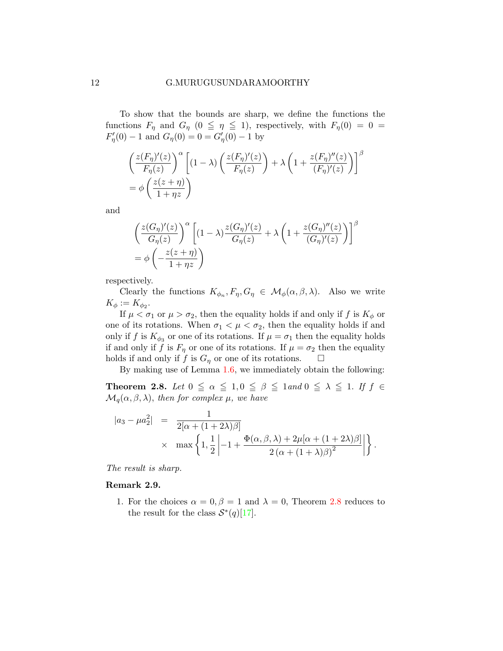To show that the bounds are sharp, we define the functions the functions  $F_{\eta}$  and  $G_{\eta}$  (0  $\leq \eta \leq$  1), respectively, with  $F_{\eta}(0) = 0$  =  $F'_{\eta}(0) - 1$  and  $G_{\eta}(0) = 0 = G'_{\eta}(0) - 1$  by

$$
\left(\frac{z(F_{\eta})'(z)}{F_{\eta}(z)}\right)^{\alpha} \left[ (1-\lambda) \left(\frac{z(F_{\eta})'(z)}{F_{\eta}(z)}\right) + \lambda \left(1 + \frac{z(F_{\eta})''(z)}{(F_{\eta})'(z)}\right) \right]^{\beta}
$$
  
=  $\phi \left(\frac{z(z+\eta)}{1+\eta z}\right)$ 

and

$$
\left(\frac{z(G_{\eta})'(z)}{G_{\eta}(z)}\right)^{\alpha} \left[ (1-\lambda)\frac{z(G_{\eta})'(z)}{G_{\eta}(z)} + \lambda \left(1 + \frac{z(G_{\eta})''(z)}{(G_{\eta})'(z)}\right) \right]^{\beta}
$$

$$
= \phi \left(-\frac{z(z+\eta)}{1+\eta z}\right)
$$

respectively.

Clearly the functions  $K_{\phi_n}, F_{\eta}, G_{\eta} \in \mathcal{M}_{\phi}(\alpha, \beta, \lambda)$ . Also we write  $K_{\phi} := K_{\phi_2}.$ 

If  $\mu < \sigma_1$  or  $\mu > \sigma_2$ , then the equality holds if and only if f is  $K_{\phi}$  or one of its rotations. When  $\sigma_1 < \mu < \sigma_2$ , then the equality holds if and only if f is  $K_{\phi_3}$  or one of its rotations. If  $\mu = \sigma_1$  then the equality holds if and only if f is  $F_{\eta}$  or one of its rotations. If  $\mu = \sigma_2$  then the equality holds if and only if f is  $G_{\eta}$  or one of its rotations.  $\square$ 

By making use of Lemma 1.[6,](#page-5-0) we immediately obtain the following:

<span id="page-11-0"></span>**Theorem 2.8.** Let  $0 \leq \alpha \leq 1, 0 \leq \beta \leq 1$  and  $0 \leq \lambda \leq 1$ . If  $f \in$  $\mathcal{M}_q(\alpha,\beta,\lambda)$ , then for complex  $\mu$ , we have

$$
|a_3 - \mu a_2^2| = \frac{1}{2[\alpha + (1+2\lambda)\beta]}
$$
  
 
$$
\times \max \left\{ 1, \frac{1}{2} \left| -1 + \frac{\Phi(\alpha, \beta, \lambda) + 2\mu[\alpha + (1+2\lambda)\beta]}{2(\alpha + (1+\lambda)\beta)^2} \right| \right\}.
$$

The result is sharp.

### Remark 2.9.

1. For the choices  $\alpha = 0, \beta = 1$  and  $\lambda = 0$ , Theorem [2.8](#page-11-0) reduces to the result for the class  $S^*(q)[17]$  $S^*(q)[17]$ .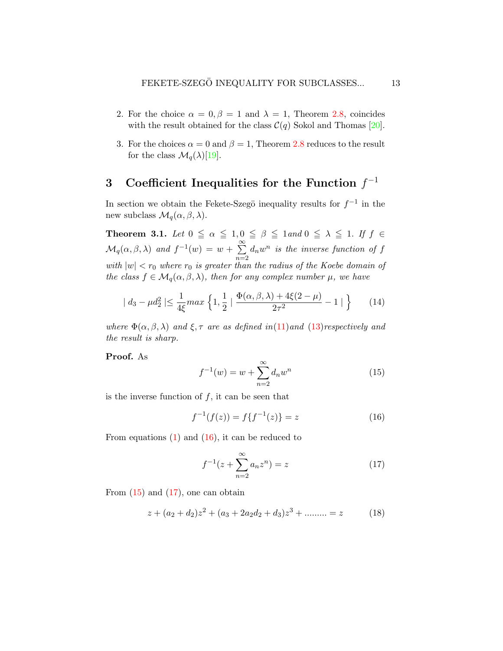- 2. For the choice  $\alpha = 0, \beta = 1$  and  $\lambda = 1$ , Theorem [2.8,](#page-11-0) coincides with the result obtained for the class  $\mathcal{C}(q)$  Sokol and Thomas [\[20\]](#page-19-3).
- 3. For the choices  $\alpha = 0$  and  $\beta = 1$ , Theorem [2.8](#page-11-0) reduces to the result for the class  $\mathcal{M}_q(\lambda)[19]$  $\mathcal{M}_q(\lambda)[19]$ .

## 3 Coefficient Inequalities for the Function  $f^{-1}$

In section we obtain the Fekete-Szegö inequality results for  $f^{-1}$  in the new subclass  $\mathcal{M}_q(\alpha, \beta, \lambda)$ .

**Theorem 3.1.** Let  $0 \leq \alpha \leq 1, 0 \leq \beta \leq 1$  and  $0 \leq \lambda \leq 1$ . If  $f \in$  $\mathcal{M}_q(\alpha,\beta,\lambda)$  and  $f^{-1}(w) = w + \sum_{i=1}^{\infty}$  $n=2$  $d_nw^n$  is the inverse function of f with  $|w| < r_0$  where  $r_0$  is greater than the radius of the Koebe domain of the class  $f \in \mathcal{M}_q(\alpha, \beta, \lambda)$ , then for any complex number  $\mu$ , we have

$$
| d_3 - \mu d_2^2 | \le \frac{1}{4\xi} \max \left\{ 1, \frac{1}{2} \mid \frac{\Phi(\alpha, \beta, \lambda) + 4\xi(2 - \mu)}{2\tau^2} - 1 \mid \right\} \tag{14}
$$

where  $\Phi(\alpha, \beta, \lambda)$  and  $\xi, \tau$  are as defined in[\(11\)](#page-7-0)and [\(13\)](#page-10-0)respectively and the result is sharp.

Proof. As

<span id="page-12-4"></span><span id="page-12-1"></span>
$$
f^{-1}(w) = w + \sum_{n=2}^{\infty} d_n w^n
$$
 (15)

is the inverse function of  $f$ , it can be seen that

<span id="page-12-0"></span>
$$
f^{-1}(f(z)) = f\{f^{-1}(z)\} = z \tag{16}
$$

From equations  $(1)$  and  $(16)$ , it can be reduced to

<span id="page-12-2"></span>
$$
f^{-1}(z + \sum_{n=2}^{\infty} a_n z^n) = z
$$
 (17)

From  $(15)$  and  $(17)$ , one can obtain

<span id="page-12-3"></span>
$$
z + (a_2 + d_2)z^2 + (a_3 + 2a_2d_2 + d_3)z^3 + \dotsb \dots = z \tag{18}
$$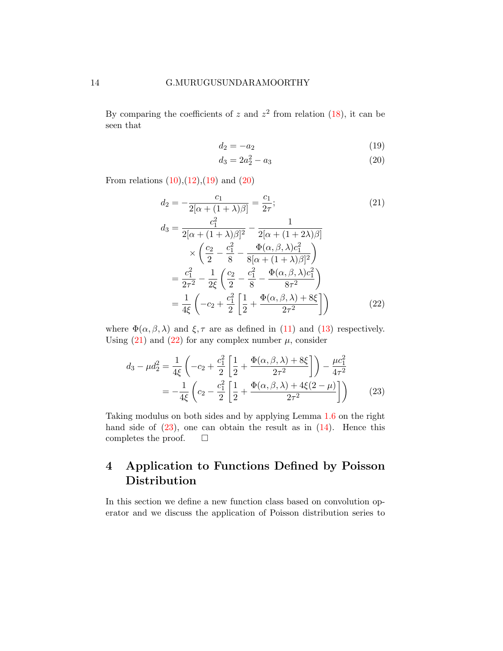By comparing the coefficients of z and  $z^2$  from relation [\(18\)](#page-12-3), it can be seen that

$$
d_2 = -a_2 \tag{19}
$$

<span id="page-13-3"></span><span id="page-13-2"></span><span id="page-13-1"></span><span id="page-13-0"></span>
$$
d_3 = 2a_2^2 - a_3 \tag{20}
$$

From relations  $(10),(12),(19)$  $(10),(12),(19)$  $(10),(12),(19)$  $(10),(12),(19)$  $(10),(12),(19)$  and  $(20)$ 

$$
d_2 = -\frac{c_1}{2[\alpha + (1+\lambda)\beta]} = \frac{c_1}{2\tau};
$$
\n
$$
c_1^2 \qquad \qquad 1
$$
\n(21)

$$
d_3 = \frac{c_1}{2[\alpha + (1 + \lambda)\beta]^2} - \frac{1}{2[\alpha + (1 + 2\lambda)\beta]}
$$
  
\n
$$
\times \left(\frac{c_2}{2} - \frac{c_1^2}{8} - \frac{\Phi(\alpha, \beta, \lambda)c_1^2}{8[\alpha + (1 + \lambda)\beta]^2}\right)
$$
  
\n
$$
= \frac{c_1^2}{2\tau^2} - \frac{1}{2\xi} \left(\frac{c_2}{2} - \frac{c_1^2}{8} - \frac{\Phi(\alpha, \beta, \lambda)c_1^2}{8\tau^2}\right)
$$
  
\n
$$
= \frac{1}{4\xi} \left(-c_2 + \frac{c_1^2}{2}\left[\frac{1}{2} + \frac{\Phi(\alpha, \beta, \lambda) + 8\xi}{2\tau^2}\right]\right)
$$
(22)

where  $\Phi(\alpha, \beta, \lambda)$  and  $\xi, \tau$  are as defined in [\(11\)](#page-7-0) and [\(13\)](#page-10-0) respectively. Using  $(21)$  and  $(22)$  for any complex number  $\mu$ , consider

<span id="page-13-4"></span>
$$
d_3 - \mu d_2^2 = \frac{1}{4\xi} \left( -c_2 + \frac{c_1^2}{2} \left[ \frac{1}{2} + \frac{\Phi(\alpha, \beta, \lambda) + 8\xi}{2\tau^2} \right] \right) - \frac{\mu c_1^2}{4\tau^2}
$$
  
= 
$$
-\frac{1}{4\xi} \left( c_2 - \frac{c_1^2}{2} \left[ \frac{1}{2} + \frac{\Phi(\alpha, \beta, \lambda) + 4\xi(2 - \mu)}{2\tau^2} \right] \right)
$$
(23)

Taking modulus on both sides and by applying Lemma [1.6](#page-5-0) on the right hand side of  $(23)$ , one can obtain the result as in  $(14)$ . Hence this completes the proof.  $\square$ 

## 4 Application to Functions Defined by Poisson Distribution

In this section we define a new function class based on convolution operator and we discuss the application of Poisson distribution series to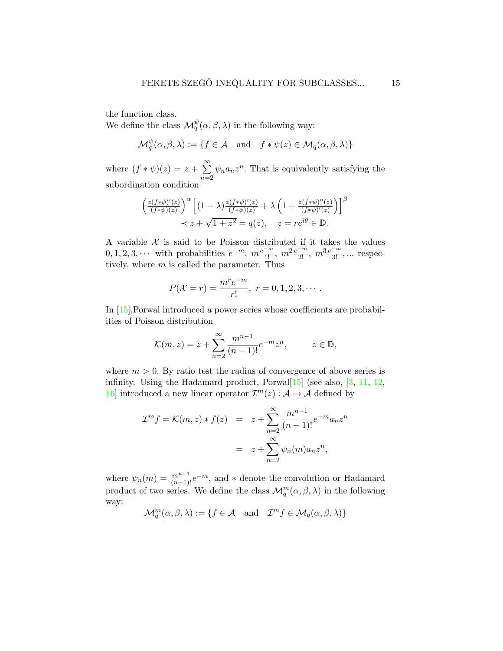the function class.

We define the class  $\mathcal{M}_q^{\psi}(\alpha, \beta, \lambda)$  in the following way:

$$
\mathcal{M}_q^{\psi}(\alpha, \beta, \lambda) := \{ f \in \mathcal{A} \text{ and } f * \psi(z) \in \mathcal{M}_q(\alpha, \beta, \lambda) \}
$$

where  $(f * \psi)(z) = z + \sum_{i=1}^{\infty}$  $n=2$  $\psi_n a_n z^n$ . That is equivalently satisfying the subordination condition

$$
\left(\frac{z(f*\psi)'(z)}{(f*\psi)(z)}\right)^{\alpha} \left[ (1-\lambda)\frac{z(f*\psi)'(z)}{(f*\psi)(z)} + \lambda \left(1 + \frac{z(f*\psi)''(z)}{(f*\psi)'(z)}\right) \right]^{\beta}
$$
  

$$
\prec z + \sqrt{1+z^2} = q(z), \quad z = re^{i\theta} \in \mathbb{D}.
$$

A variable  $\mathcal X$  is said to be Poisson distributed if it takes the values  $0, 1, 2, 3, \cdots$  with probabilities  $e^{-m}$ ,  $m \frac{e^{-m}}{1!}$ ,  $m^2 \frac{e^{-m}}{2!}$ ,  $m^3 \frac{e^{-m}}{3!}$ , ... respectively, where  $m$  is called the parameter. Thus

$$
P(\mathcal{X}=r) = \frac{m^r e^{-m}}{r!}, \ r = 0, 1, 2, 3, \cdots.
$$

In [\[15\]](#page-18-4),Porwal introduced a power series whose coefficients are probabilities of Poisson distribution

$$
\mathcal{K}(m, z) = z + \sum_{n=2}^{\infty} \frac{m^{n-1}}{(n-1)!} e^{-m} z^n, \qquad z \in \mathbb{D},
$$

where  $m > 0$ . By ratio test the radius of convergence of above series is infinity. Using the Hadamard product, Porwal $[15]$  (see also,  $[3, 11, 12,$  $[3, 11, 12,$  $[3, 11, 12,$  $[3, 11, 12,$  $[3, 11, 12,$ ) 16 introduced a new linear operator  $\mathcal{I}^m(z) : A \to A$  defined by

$$
\mathcal{I}^{m} f = \mathcal{K}(m, z) * f(z) = z + \sum_{n=2}^{\infty} \frac{m^{n-1}}{(n-1)!} e^{-m} a_n z^n
$$

$$
= z + \sum_{n=2}^{\infty} \psi_n(m) a_n z^n,
$$

where  $\psi_n(m) = \frac{m^{n-1}}{(n-1)!}e^{-m}$ , and  $*$  denote the convolution or Hadamard product of two series. We define the class  $\mathcal{M}_q^m(\alpha, \beta, \lambda)$  in the following way:

 $\mathcal{M}_q^m(\alpha, \beta, \lambda) := \{f \in \mathcal{A} \text{ and } \mathcal{I}^m f \in \mathcal{M}_q(\alpha, \beta, \lambda)\}\$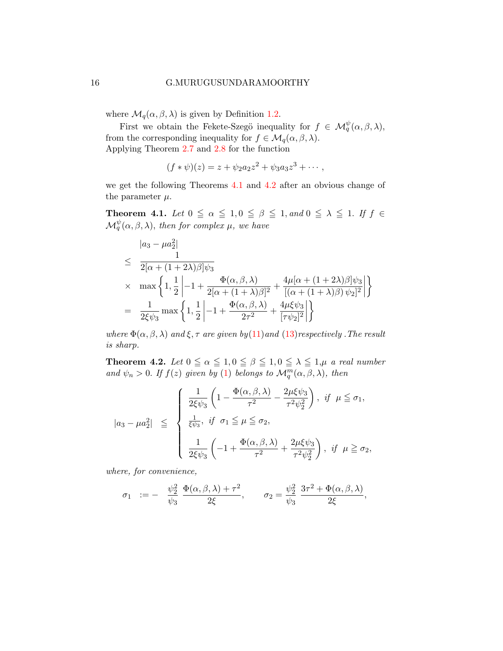where  $\mathcal{M}_q(\alpha, \beta, \lambda)$  is given by Definition [1.2.](#page-3-0)

First we obtain the Fekete-Szegö inequality for  $f \in \mathcal{M}_q^{\psi}(\alpha,\beta,\lambda)$ , from the corresponding inequality for  $f \in \mathcal{M}_q(\alpha, \beta, \lambda)$ . Applying Theorem [2.7](#page-9-0) and [2.8](#page-11-0) for the function

$$
(f * \psi)(z) = z + \psi_2 a_2 z^2 + \psi_3 a_3 z^3 + \cdots,
$$

we get the following Theorems [4.1](#page-15-0) and [4](#page-15-1).2 after an obvious change of the parameter  $\mu$ .

<span id="page-15-0"></span>**Theorem 4.1.** Let  $0 \leq \alpha \leq 1, 0 \leq \beta \leq 1,$  and  $0 \leq \lambda \leq 1$ . If  $f \in$  $\mathcal{M}^\psi_q(\alpha,\beta,\lambda)$ , then for complex  $\mu$ , we have

$$
\begin{aligned}\n&|a_3 - \mu a_2^2| \\
&\leq \frac{1}{2[\alpha + (1+2\lambda)\beta]\psi_3} \\
&\times \quad \max\left\{1, \frac{1}{2}\left|-1 + \frac{\Phi(\alpha, \beta, \lambda)}{2[\alpha + (1+\lambda)\beta]^2} + \frac{4\mu[\alpha + (1+2\lambda)\beta]\psi_3}{[(\alpha + (1+\lambda)\beta)\psi_2]^2}\right|\right\} \\
&= \frac{1}{2\xi\psi_3} \max\left\{1, \frac{1}{2}\left|-1 + \frac{\Phi(\alpha, \beta, \lambda)}{2\tau^2} + \frac{4\mu\xi\psi_3}{[\tau\psi_2]^2}\right|\right\}\n\end{aligned}
$$

where  $\Phi(\alpha, \beta, \lambda)$  and  $\xi, \tau$  are given by[\(11\)](#page-7-0)and [\(13\)](#page-10-0) respectively. The result is sharp.

<span id="page-15-1"></span>**Theorem 4.2.** Let  $0 \le \alpha \le 1, 0 \le \beta \le 1, 0 \le \lambda \le 1, \mu$  a real number and  $\psi_n > 0$ . If  $f(z)$  given by [\(1\)](#page-0-0) belongs to  $\mathcal{M}_q^m(\alpha, \beta, \lambda)$ , then

$$
|a_3 - \mu a_2^2| \leq \begin{cases} \frac{1}{2\xi\psi_3} \left( 1 - \frac{\Phi(\alpha, \beta, \lambda)}{\tau^2} - \frac{2\mu\xi\psi_3}{\tau^2\psi_2^2} \right), & \text{if } \mu \leq \sigma_1, \\ \frac{1}{\xi\psi_3}, & \text{if } \sigma_1 \leq \mu \leq \sigma_2, \\ \frac{1}{2\xi\psi_3} \left( -1 + \frac{\Phi(\alpha, \beta, \lambda)}{\tau^2} + \frac{2\mu\xi\psi_3}{\tau^2\psi_2^2} \right), & \text{if } \mu \geq \sigma_2, \end{cases}
$$

where, for convenience,

<span id="page-15-2"></span>
$$
\sigma_1 \ := \ - \quad \frac{\psi_2^2}{\psi_3} \ \frac{\Phi(\alpha,\beta,\lambda)+\tau^2}{2\xi}, \qquad \sigma_2 = \frac{\psi_2^2}{\psi_3} \ \frac{3\tau^2+\Phi(\alpha,\beta,\lambda)}{2\xi},
$$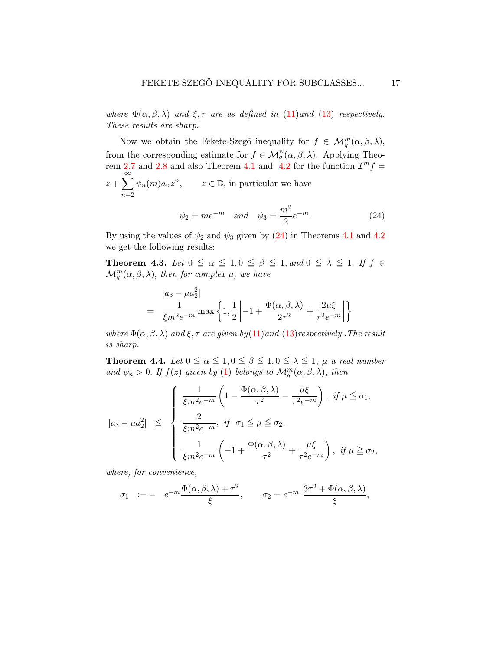where  $\Phi(\alpha, \beta, \lambda)$  and  $\xi, \tau$  are as defined in [\(11\)](#page-7-0)and [\(13\)](#page-10-0) respectively. These results are sharp.

Now we obtain the Fekete-Szegö inequality for  $f \in \mathcal{M}_q^m(\alpha, \beta, \lambda)$ , from the corresponding estimate for  $f \in \mathcal{M}_q^{\psi}(\alpha, \beta, \lambda)$ . Applying Theo-rem [2.7](#page-9-0) and [2.8](#page-11-0) and also Theorem [4.1](#page-15-0) and [4.2](#page-15-1) for the function  $\mathcal{I}^m f =$  $z+\sum_{n=1}^{\infty}$  $n=2$  $\psi_n(m)a_nz^n$ ,  $z \in \mathbb{D}$ , in particular we have  $\psi_2 = me^{-m}$  and  $\psi_3 = \frac{m^2}{2}$  $\frac{n}{2}e^{-m}$ . (24)

By using the values of  $\psi_2$  and  $\psi_3$  given by [\(24\)](#page-15-2) in Theorems [4.1](#page-15-0) and [4](#page-15-1).2 we get the following results:

<span id="page-16-0"></span>**Theorem 4.3.** Let  $0 \leq \alpha \leq 1, 0 \leq \beta \leq 1,$  and  $0 \leq \lambda \leq 1$ . If  $f \in$  $\mathcal{M}_q^m(\alpha,\beta,\lambda)$ , then for complex  $\mu$ , we have

$$
= \frac{1}{\xi m^2 e^{-m}} \max \left\{ 1, \frac{1}{2} \left| -1 + \frac{\Phi(\alpha, \beta, \lambda)}{2\tau^2} + \frac{2\mu \xi}{\tau^2 e^{-m}} \right| \right\}
$$

where  $\Phi(\alpha, \beta, \lambda)$  and  $\xi, \tau$  are given by  $(11)$  and  $(13)$  respectively. The result is sharp.

<span id="page-16-1"></span>**Theorem 4.4.** Let  $0 \le \alpha \le 1, 0 \le \beta \le 1, 0 \le \lambda \le 1$ ,  $\mu$  a real number and  $\psi_n > 0$ . If  $f(z)$  given by [\(1\)](#page-0-0) belongs to  $\mathcal{M}_q^m(\alpha, \beta, \lambda)$ , then

$$
|a_3 - \mu a_2^2| \leq \begin{cases} \frac{1}{\xi m^2 e^{-m}} \left( 1 - \frac{\Phi(\alpha, \beta, \lambda)}{\tau^2} - \frac{\mu \xi}{\tau^2 e^{-m}} \right), & \text{if } \mu \leq \sigma_1, \\ \frac{2}{\xi m^2 e^{-m}}, & \text{if } \sigma_1 \leq \mu \leq \sigma_2, \\ \frac{1}{\xi m^2 e^{-m}} \left( -1 + \frac{\Phi(\alpha, \beta, \lambda)}{\tau^2} + \frac{\mu \xi}{\tau^2 e^{-m}} \right), & \text{if } \mu \geq \sigma_2, \end{cases}
$$

where, for convenience,

$$
\sigma_1 \quad := - \quad e^{-m} \frac{\Phi(\alpha, \beta, \lambda) + \tau^2}{\xi}, \qquad \sigma_2 = e^{-m} \frac{3\tau^2 + \Phi(\alpha, \beta, \lambda)}{\xi},
$$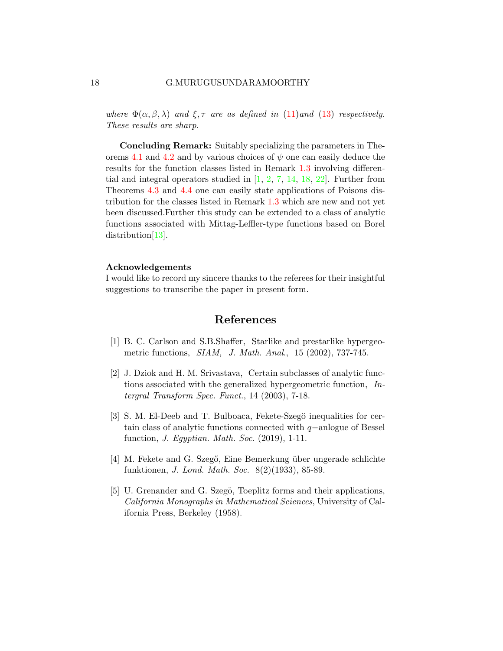where  $\Phi(\alpha, \beta, \lambda)$  and  $\xi, \tau$  are as defined in [\(11\)](#page-7-0)and [\(13\)](#page-10-0) respectively. These results are sharp.

Concluding Remark: Suitably specializing the parameters in The-orems [4.1](#page-15-0) and [4.2](#page-15-1) and by various choices of  $\psi$  one can easily deduce the results for the function classes listed in Remark [1.3](#page-0-1) involving differential and integral operators studied in  $[1, 2, 7, 14, 18, 22]$  $[1, 2, 7, 14, 18, 22]$  $[1, 2, 7, 14, 18, 22]$  $[1, 2, 7, 14, 18, 22]$  $[1, 2, 7, 14, 18, 22]$  $[1, 2, 7, 14, 18, 22]$  $[1, 2, 7, 14, 18, 22]$  $[1, 2, 7, 14, 18, 22]$  $[1, 2, 7, 14, 18, 22]$  $[1, 2, 7, 14, 18, 22]$  $[1, 2, 7, 14, 18, 22]$ . Further from Theorems [4.3](#page-16-0) and [4.4](#page-16-1) one can easily state applications of Poisons distribution for the classes listed in Remark [1.3](#page-0-1) which are new and not yet been discussed.Further this study can be extended to a class of analytic functions associated with Mittag-Leffler-type functions based on Borel distribution<sup>[\[13\]](#page-18-9)</sup>.

### Acknowledgements

I would like to record my sincere thanks to the referees for their insightful suggestions to transcribe the paper in present form.

### References

- <span id="page-17-3"></span>[1] B. C. Carlson and S.B.Shaffer, Starlike and prestarlike hypergeometric functions, SIAM, J. Math. Anal., 15 (2002), 737-745.
- <span id="page-17-4"></span>[2] J. Dziok and H. M. Srivastava, Certain subclasses of analytic functions associated with the generalized hypergeometric function, Intergral Transform Spec. Funct., 14 (2003), 7-18.
- <span id="page-17-2"></span>[3] S. M. El-Deeb and T. Bulboaca, Fekete-Szegö inequalities for certain class of analytic functions connected with q−anlogue of Bessel function, J. Egyptian. Math. Soc. (2019), 1-11.
- <span id="page-17-0"></span>[4] M. Fekete and G. Szegő, Eine Bemerkung über ungerade schlichte funktionen, J. Lond. Math. Soc. 8(2)(1933), 85-89.
- <span id="page-17-1"></span>[5] U. Grenander and G. Szegö, Toeplitz forms and their applications, California Monographs in Mathematical Sciences, University of California Press, Berkeley (1958).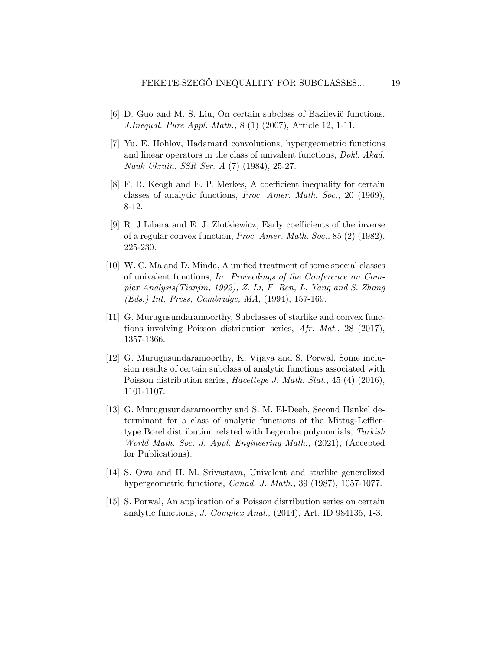- <span id="page-18-0"></span>[6] D. Guo and M. S. Liu, On certain subclass of Bazilevič functions, J.Inequal. Pure Appl. Math., 8 (1) (2007), Article 12, 1-11.
- <span id="page-18-7"></span>[7] Yu. E. Hohlov, Hadamard convolutions, hypergeometric functions and linear operators in the class of univalent functions, Dokl. Akad. Nauk Ukrain. SSR Ser. A (7) (1984), 25-27.
- <span id="page-18-3"></span>[8] F. R. Keogh and E. P. Merkes, A coefficient inequality for certain classes of analytic functions, Proc. Amer. Math. Soc., 20 (1969), 8-12.
- <span id="page-18-2"></span>[9] R. J.Libera and E. J. Zlotkiewicz, Early coefficients of the inverse of a regular convex function, Proc. Amer. Math. Soc., 85 (2) (1982), 225-230.
- <span id="page-18-1"></span>[10] W. C. Ma and D. Minda, A unified treatment of some special classes of univalent functions, In: Proceedings of the Conference on Complex Analysis(Tianjin, 1992), Z. Li, F. Ren, L. Yang and S. Zhang (Eds.) Int. Press, Cambridge, MA, (1994), 157-169.
- <span id="page-18-5"></span>[11] G. Murugusundaramoorthy, Subclasses of starlike and convex functions involving Poisson distribution series, Afr. Mat., 28 (2017), 1357-1366.
- <span id="page-18-6"></span>[12] G. Murugusundaramoorthy, K. Vijaya and S. Porwal, Some inclusion results of certain subclass of analytic functions associated with Poisson distribution series, *Hacettepe J. Math. Stat.*, 45 (4) (2016), 1101-1107.
- <span id="page-18-9"></span>[13] G. Murugusundaramoorthy and S. M. El-Deeb, Second Hankel determinant for a class of analytic functions of the Mittag-Lefflertype Borel distribution related with Legendre polynomials, Turkish World Math. Soc. J. Appl. Engineering Math., (2021), (Accepted for Publications).
- <span id="page-18-8"></span>[14] S. Owa and H. M. Srivastava, Univalent and starlike generalized hypergeometric functions, Canad. J. Math., 39 (1987), 1057-1077.
- <span id="page-18-4"></span>[15] S. Porwal, An application of a Poisson distribution series on certain analytic functions, J. Complex Anal., (2014), Art. ID 984135, 1-3.